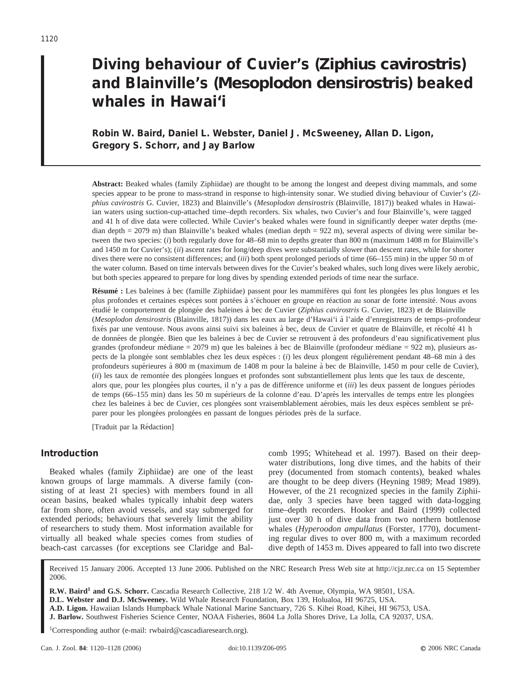# **Diving behaviour of Cuvier's (***Ziphius cavirostris***) and Blainville's (***Mesoplodon densirostris***) beaked whales in Hawai'i**

# **Robin W. Baird, Daniel L. Webster, Daniel J. McSweeney, Allan D. Ligon, Gregory S. Schorr, and Jay Barlow**

**Abstract:** Beaked whales (family Ziphiidae) are thought to be among the longest and deepest diving mammals, and some species appear to be prone to mass-strand in response to high-intensity sonar. We studied diving behaviour of Cuvier's (*Ziphius cavirostris* G. Cuvier, 1823) and Blainville's (*Mesoplodon densirostris* (Blainville, 1817)) beaked whales in Hawaiian waters using suction-cup-attached time–depth recorders. Six whales, two Cuvier's and four Blainville's, were tagged and 41 h of dive data were collected. While Cuvier's beaked whales were found in significantly deeper water depths (median depth = 2079 m) than Blainville's beaked whales (median depth = 922 m), several aspects of diving were similar between the two species: (*i*) both regularly dove for 48–68 min to depths greater than 800 m (maximum 1408 m for Blainville's and 1450 m for Cuvier's); (*ii*) ascent rates for long/deep dives were substantially slower than descent rates, while for shorter dives there were no consistent differences; and (*iii*) both spent prolonged periods of time (66–155 min) in the upper 50 m of the water column. Based on time intervals between dives for the Cuvier's beaked whales, such long dives were likely aerobic, but both species appeared to prepare for long dives by spending extended periods of time near the surface.

**Résumé :** Les baleines à bec (famille Ziphiidae) passent pour les mammifères qui font les plongées les plus longues et les plus profondes et certaines espèces sont portées à s'échouer en groupe en réaction au sonar de forte intensité. Nous avons étudié le comportement de plongée des baleines à bec de Cuvier (*Ziphius cavirostris* G. Cuvier, 1823) et de Blainville (*Mesoplodon densirostris* (Blainville, 1817)) dans les eaux au large d'Hawai'i a` l'aide d'enregistreurs de temps–profondeur fixés par une ventouse. Nous avons ainsi suivi six baleines à bec, deux de Cuvier et quatre de Blainville, et récolté 41 h de données de plongée. Bien que les baleines à bec de Cuvier se retrouvent à des profondeurs d'eau significativement plus grandes (profondeur médiane =  $2079$  m) que les baleines à bec de Blainville (profondeur médiane =  $922$  m), plusieurs aspects de la plongée sont semblables chez les deux espèces : (*i*) les deux plongent régulièrement pendant 48–68 min à des profondeurs supérieures à 800 m (maximum de 1408 m pour la baleine à bec de Blainville, 1450 m pour celle de Cuvier), (*ii*) les taux de remontée des plongées longues et profondes sont substantiellement plus lents que les taux de descente, alors que, pour les plongées plus courtes, il n'y a pas de différence uniforme et *(iii*) les deux passent de longues périodes de temps (66-155 min) dans les 50 m supérieurs de la colonne d'eau. D'après les intervalles de temps entre les plongées chez les baleines à bec de Cuvier, ces plongées sont vraisemblablement aérobies, mais les deux espèces semblent se préparer pour les plongées prolongées en passant de longues périodes près de la surface.

[Traduit par la Rédaction]

### **Introduction**

Beaked whales (family Ziphiidae) are one of the least known groups of large mammals. A diverse family (consisting of at least 21 species) with members found in all ocean basins, beaked whales typically inhabit deep waters far from shore, often avoid vessels, and stay submerged for extended periods; behaviours that severely limit the ability of researchers to study them. Most information available for virtually all beaked whale species comes from studies of beach-cast carcasses (for exceptions see Claridge and Balcomb 1995; Whitehead et al. 1997). Based on their deepwater distributions, long dive times, and the habits of their prey (documented from stomach contents), beaked whales are thought to be deep divers (Heyning 1989; Mead 1989). However, of the 21 recognized species in the family Ziphiidae, only 3 species have been tagged with data-logging time–depth recorders. Hooker and Baird (1999) collected just over 30 h of dive data from two northern bottlenose whales (*Hyperoodon ampullatus* (Forster, 1770), documenting regular dives to over 800 m, with a maximum recorded dive depth of 1453 m. Dives appeared to fall into two discrete

Received 15 January 2006. Accepted 13 June 2006. Published on the NRC Research Press Web site at http://cjz.nrc.ca on 15 September 2006.

**R.W. Baird<sup>1</sup> and G.S. Schorr.** Cascadia Research Collective, 218 1/2 W. 4th Avenue, Olympia, WA 98501, USA.

**D.L. Webster and D.J. McSweeney.** Wild Whale Research Foundation, Box 139, Holualoa, HI 96725, USA.

**A.D. Ligon.** Hawaiian Islands Humpback Whale National Marine Sanctuary, 726 S. Kihei Road, Kihei, HI 96753, USA.

**J. Barlow.** Southwest Fisheries Science Center, NOAA Fisheries, 8604 La Jolla Shores Drive, La Jolla, CA 92037, USA.

<sup>1</sup>Corresponding author (e-mail: rwbaird@cascadiaresearch.org).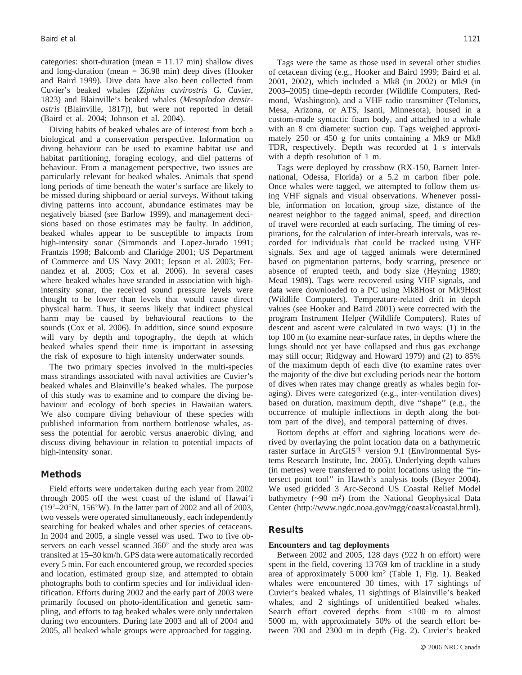categories: short-duration (mean  $= 11.17$  min) shallow dives and long-duration (mean = 36.98 min) deep dives (Hooker and Baird 1999). Dive data have also been collected from Cuvier's beaked whales (*Ziphius cavirostris* G. Cuvier, 1823) and Blainville's beaked whales (*Mesoplodon densirostris* (Blainville, 1817)), but were not reported in detail (Baird et al. 2004; Johnson et al. 2004).

Diving habits of beaked whales are of interest from both a biological and a conservation perspective. Information on diving behaviour can be used to examine habitat use and habitat partitioning, foraging ecology, and diel patterns of behaviour. From a management perspective, two issues are particularly relevant for beaked whales. Animals that spend long periods of time beneath the water's surface are likely to be missed during shipboard or aerial surveys. Without taking diving patterns into account, abundance estimates may be negatively biased (see Barlow 1999), and management decisions based on those estimates may be faulty. In addition, beaked whales appear to be susceptible to impacts from high-intensity sonar (Simmonds and Lopez-Jurado 1991; Frantzis 1998; Balcomb and Claridge 2001; US Department of Commerce and US Navy 2001; Jepson et al. 2003; Fernandez et al. 2005; Cox et al. 2006). In several cases where beaked whales have stranded in association with highintensity sonar, the received sound pressure levels were thought to be lower than levels that would cause direct physical harm. Thus, it seems likely that indirect physical harm may be caused by behavioural reactions to the sounds (Cox et al. 2006). In addition, since sound exposure will vary by depth and topography, the depth at which beaked whales spend their time is important in assessing the risk of exposure to high intensity underwater sounds.

The two primary species involved in the multi-species mass strandings associated with naval activities are Cuvier's beaked whales and Blainville's beaked whales. The purpose of this study was to examine and to compare the diving behaviour and ecology of both species in Hawaiian waters. We also compare diving behaviour of these species with published information from northern bottlenose whales, assess the potential for aerobic versus anaerobic diving, and discuss diving behaviour in relation to potential impacts of high-intensity sonar.

#### **Methods**

Field efforts were undertaken during each year from 2002 through 2005 off the west coast of the island of Hawai'i  $(19^{\circ}-20^{\circ}N, 156^{\circ}W)$ . In the latter part of 2002 and all of 2003, two vessels were operated simultaneously, each independently searching for beaked whales and other species of cetaceans. In 2004 and 2005, a single vessel was used. Two to five observers on each vessel scanned  $360^{\circ}$  and the study area was transited at 15–30 km/h. GPS data were automatically recorded every 5 min. For each encountered group, we recorded species and location, estimated group size, and attempted to obtain photographs both to confirm species and for individual identification. Efforts during 2002 and the early part of 2003 were primarily focused on photo-identification and genetic sampling, and efforts to tag beaked whales were only undertaken during two encounters. During late 2003 and all of 2004 and 2005, all beaked whale groups were approached for tagging.

Tags were the same as those used in several other studies of cetacean diving (e.g., Hooker and Baird 1999; Baird et al. 2001, 2002), which included a Mk8 (in 2002) or Mk9 (in 2003–2005) time–depth recorder (Wildlife Computers, Redmond, Washington), and a VHF radio transmitter (Telonics, Mesa, Arizona, or ATS, Isanti, Minnesota), housed in a custom-made syntactic foam body, and attached to a whale with an 8 cm diameter suction cup. Tags weighed approximately 250 or 450 g for units containing a Mk9 or Mk8 TDR, respectively. Depth was recorded at 1 s intervals with a depth resolution of 1 m.

Tags were deployed by crossbow (RX-150, Barnett International, Odessa, Florida) or a 5.2 m carbon fiber pole. Once whales were tagged, we attempted to follow them using VHF signals and visual observations. Whenever possible, information on location, group size, distance of the nearest neighbor to the tagged animal, speed, and direction of travel were recorded at each surfacing. The timing of respirations, for the calculation of inter-breath intervals, was recorded for individuals that could be tracked using VHF signals. Sex and age of tagged animals were determined based on pigmentation patterns, body scarring, presence or absence of erupted teeth, and body size (Heyning 1989; Mead 1989). Tags were recovered using VHF signals, and data were downloaded to a PC using Mk8Host or Mk9Host (Wildlife Computers). Temperature-related drift in depth values (see Hooker and Baird 2001) were corrected with the program Instrument Helper (Wildlife Computers). Rates of descent and ascent were calculated in two ways: (1) in the top 100 m (to examine near-surface rates, in depths where the lungs should not yet have collapsed and thus gas exchange may still occur; Ridgway and Howard 1979) and (2) to 85% of the maximum depth of each dive (to examine rates over the majority of the dive but excluding periods near the bottom of dives when rates may change greatly as whales begin foraging). Dives were categorized (e.g., inter-ventilation dives) based on duration, maximum depth, dive ''shape'' (e.g., the occurrence of multiple inflections in depth along the bottom part of the dive), and temporal patterning of dives.

Bottom depths at effort and sighting locations were derived by overlaying the point location data on a bathymetric raster surface in ArcGIS<sup>®</sup> version 9.1 (Environmental Systems Research Institute, Inc. 2005). Underlying depth values (in metres) were transferred to point locations using the ''intersect point tool'' in Hawth's analysis tools (Beyer 2004). We used gridded 3 Arc-Second US Coastal Relief Model bathymetry  $({\sim}90 \text{ m}^2)$  from the National Geophysical Data Center (http://www.ngdc.noaa.gov/mgg/coastal/coastal.html).

#### **Results**

#### **Encounters and tag deployments**

Between 2002 and 2005, 128 days (922 h on effort) were spent in the field, covering 13 769 km of trackline in a study area of approximately 5 000 km2 (Table 1, Fig. 1). Beaked whales were encountered 30 times, with 17 sightings of Cuvier's beaked whales, 11 sightings of Blainville's beaked whales, and 2 sightings of unidentified beaked whales. Search effort covered depths from <100 m to almost 5000 m, with approximately 50% of the search effort between 700 and 2300 m in depth (Fig. 2). Cuvier's beaked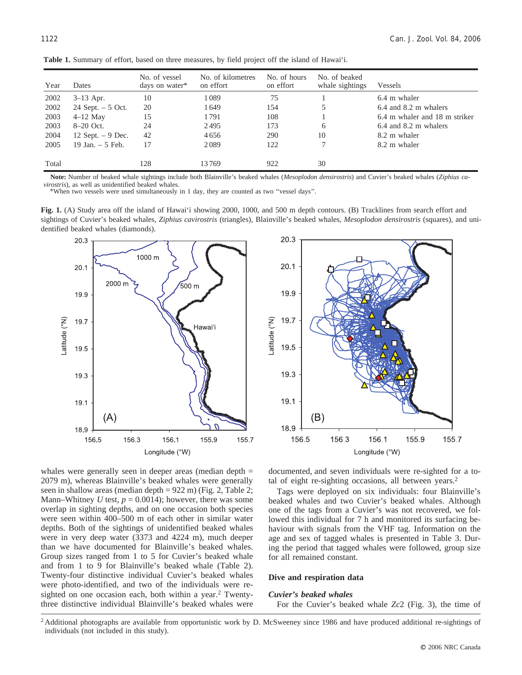| Year  | Dates              | No. of vessel<br>days on water* | No. of kilometres<br>on effort | No. of hours<br>on effort | No. of beaked<br>whale sightings | <b>Vessels</b>                |
|-------|--------------------|---------------------------------|--------------------------------|---------------------------|----------------------------------|-------------------------------|
| 2002  | $3-13$ Apr.        | 10                              | 1089                           | 75                        |                                  | 6.4 m whaler                  |
| 2002  | 24 Sept. $-5$ Oct. | 20                              | 1649                           | 154                       |                                  | $6.4$ and $8.2$ m whalers     |
| 2003  | $4-12$ May         | 15                              | 1791                           | 108                       |                                  | 6.4 m whaler and 18 m striker |
| 2003  | 8-20 Oct.          | 24                              | 2495                           | 173                       | 6                                | 6.4 and 8.2 m whalers         |
| 2004  | 12 Sept. $-9$ Dec. | 42                              | 4656                           | 290                       | 10                               | 8.2 m whaler                  |
| 2005  | 19 Jan. $-5$ Feb.  | 17                              | 2089                           | 122                       |                                  | 8.2 m whaler                  |
| Total |                    | 128                             | 13769                          | 922                       | 30                               |                               |

**Table 1.** Summary of effort, based on three measures, by field project off the island of Hawai'i.

**Note:** Number of beaked whale sightings include both Blainville's beaked whales (*Mesoplodon densirostris*) and Cuvier's beaked whales (*Ziphius cavirostris*), as well as unidentified beaked whales.

\*When two vessels were used simultaneously in 1 day, they are counted as two ''vessel days''.

**Fig. 1.** (A) Study area off the island of Hawai'i showing 2000, 1000, and 500 m depth contours. (B) Tracklines from search effort and sightings of Cuvier's beaked whales, *Ziphius cavirostris* (triangles), Blainville's beaked whales, *Mesoplodon densirostris* (squares), and unidentified beaked whales (diamonds).







documented, and seven individuals were re-sighted for a total of eight re-sighting occasions, all between years.2

Tags were deployed on six individuals: four Blainville's beaked whales and two Cuvier's beaked whales. Although one of the tags from a Cuvier's was not recovered, we followed this individual for 7 h and monitored its surfacing behaviour with signals from the VHF tag. Information on the age and sex of tagged whales is presented in Table 3. During the period that tagged whales were followed, group size for all remained constant.

#### **Dive and respiration data**

#### *Cuvier's beaked whales*

For the Cuvier's beaked whale *Zc*2 (Fig. 3), the time of

<sup>2</sup> Additional photographs are available from opportunistic work by D. McSweeney since 1986 and have produced additional re-sightings of individuals (not included in this study).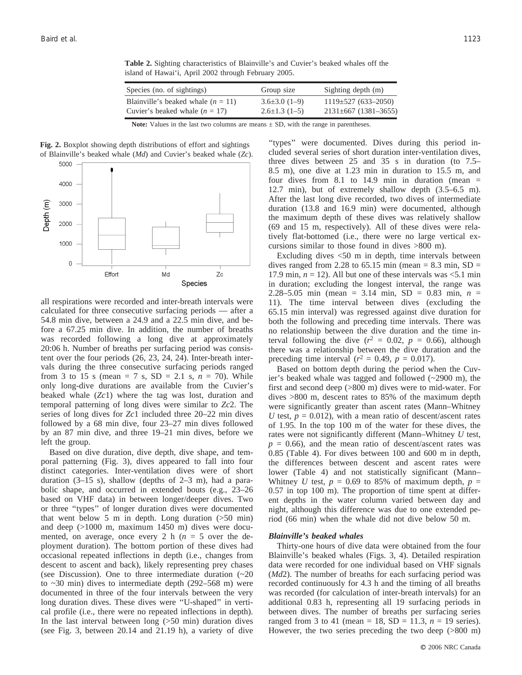| Species (no. of sightings)           | Group size           | Sighting depth (m)        |
|--------------------------------------|----------------------|---------------------------|
| Blainville's beaked whale $(n = 11)$ | $3.6\pm3.0(1-9)$     | $1119 \pm 527$ (633-2050) |
| Cuvier's beaked whale $(n = 17)$     | $2.6 \pm 1.3(1 - 5)$ | $2131\pm 667$ (1381–3655) |

**Table 2.** Sighting characteristics of Blainville's and Cuvier's beaked whales off the island of Hawai'i, April 2002 through February 2005.

**Note:** Values in the last two columns are means  $\pm$  SD, with the range in parentheses.

**Fig. 2.** Boxplot showing depth distributions of effort and sightings of Blainville's beaked whale (*Md*) and Cuvier's beaked whale (*Zc*).



all respirations were recorded and inter-breath intervals were calculated for three consecutive surfacing periods — after a 54.8 min dive, between a 24.9 and a 22.5 min dive, and before a 67.25 min dive. In addition, the number of breaths was recorded following a long dive at approximately 20:06 h. Number of breaths per surfacing period was consistent over the four periods (26, 23, 24, 24). Inter-breath intervals during the three consecutive surfacing periods ranged from 3 to 15 s (mean = 7 s,  $SD = 2.1$  s,  $n = 70$ ). While only long-dive durations are available from the Cuvier's beaked whale (*Zc*1) where the tag was lost, duration and temporal patterning of long dives were similar to *Zc*2. The series of long dives for *Zc*1 included three 20–22 min dives followed by a 68 min dive, four 23–27 min dives followed by an 87 min dive, and three 19–21 min dives, before we left the group.

Based on dive duration, dive depth, dive shape, and temporal patterning (Fig. 3), dives appeared to fall into four distinct categories. Inter-ventilation dives were of short duration  $(3-15 \text{ s})$ , shallow (depths of  $2-3 \text{ m}$ ), had a parabolic shape, and occurred in extended bouts (e.g., 23–26 based on VHF data) in between longer/deeper dives. Two or three ''types'' of longer duration dives were documented that went below 5 m in depth. Long duration (>50 min) and deep (>1000 m, maximum 1450 m) dives were documented, on average, once every 2 h  $(n = 5)$  over the deployment duration). The bottom portion of these dives had occasional repeated inflections in depth (i.e., changes from descent to ascent and back), likely representing prey chases (see Discussion). One to three intermediate duration  $(\sim 20)$ to  $\sim$ 30 min) dives to intermediate depth (292–568 m) were documented in three of the four intervals between the very long duration dives. These dives were ''U-shaped'' in vertical profile (i.e., there were no repeated inflections in depth). In the last interval between long (>50 min) duration dives (see Fig. 3, between 20.14 and 21.19 h), a variety of dive

''types'' were documented. Dives during this period included several series of short duration inter-ventilation dives, three dives between 25 and 35 s in duration (to 7.5– 8.5 m), one dive at 1.23 min in duration to 15.5 m, and four dives from 8.1 to 14.9 min in duration (mean  $=$ 12.7 min), but of extremely shallow depth (3.5–6.5 m). After the last long dive recorded, two dives of intermediate duration (13.8 and 16.9 min) were documented, although the maximum depth of these dives was relatively shallow (69 and 15 m, respectively). All of these dives were relatively flat-bottomed (i.e., there were no large vertical excursions similar to those found in dives >800 m).

Excluding dives <50 m in depth, time intervals between dives ranged from 2.28 to 65.15 min (mean  $= 8.3$  min, SD  $=$ 17.9 min,  $n = 12$ ). All but one of these intervals was  $\leq 5.1$  min in duration; excluding the longest interval, the range was 2.28–5.05 min (mean = 3.14 min, SD = 0.83 min, *n* = 11). The time interval between dives (excluding the 65.15 min interval) was regressed against dive duration for both the following and preceding time intervals. There was no relationship between the dive duration and the time interval following the dive  $(r^2 = 0.02, p = 0.66)$ , although there was a relationship between the dive duration and the preceding time interval ( $r^2 = 0.49$ ,  $p = 0.017$ ).

Based on bottom depth during the period when the Cuvier's beaked whale was tagged and followed (~2900 m), the first and second deep (>800 m) dives were to mid-water. For dives >800 m, descent rates to 85% of the maximum depth were significantly greater than ascent rates (Mann–Whitney *U* test,  $p = 0.012$ , with a mean ratio of descent/ascent rates of 1.95. In the top 100 m of the water for these dives, the rates were not significantly different (Mann–Whitney *U* test,  $p = 0.66$ ), and the mean ratio of descent/ascent rates was 0.85 (Table 4). For dives between 100 and 600 m in depth, the differences between descent and ascent rates were lower (Table 4) and not statistically significant (Mann– Whitney *U* test,  $p = 0.69$  to 85% of maximum depth,  $p =$ 0.57 in top 100 m). The proportion of time spent at different depths in the water column varied between day and night, although this difference was due to one extended period (66 min) when the whale did not dive below 50 m.

#### *Blainville's beaked whales*

Thirty-one hours of dive data were obtained from the four Blainville's beaked whales (Figs. 3, 4). Detailed respiration data were recorded for one individual based on VHF signals (*Md*2). The number of breaths for each surfacing period was recorded continuously for 4.3 h and the timing of all breaths was recorded (for calculation of inter-breath intervals) for an additional 0.83 h, representing all 19 surfacing periods in between dives. The number of breaths per surfacing series ranged from 3 to 41 (mean = 18,  $SD = 11.3$ ,  $n = 19$  series). However, the two series preceding the two deep (>800 m)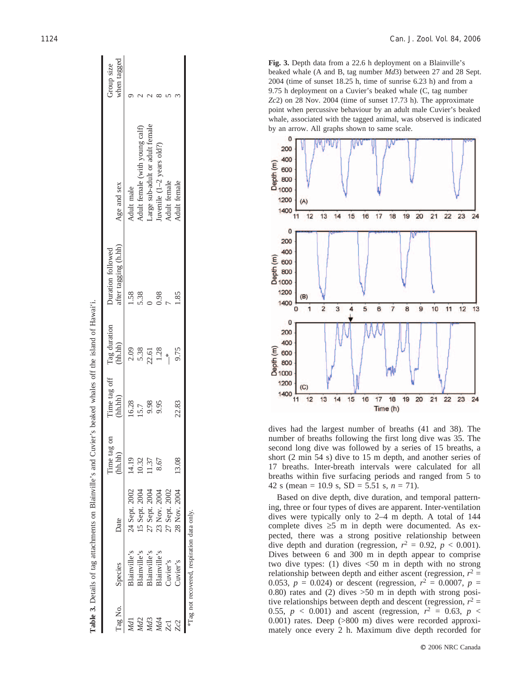|         |                                            | Table 3. Details of tag attachments on Blainville's and Cuvier's beaked whales off the island of Hawai'i. |                        |       |                                              |                                           |                                 |                           |
|---------|--------------------------------------------|-----------------------------------------------------------------------------------------------------------|------------------------|-------|----------------------------------------------|-------------------------------------------|---------------------------------|---------------------------|
| Tag No. | Species                                    | Date                                                                                                      | Time tag on<br>(hh.hh) |       | Time tag off Tag duration<br>(hh.hh) (hh.hh) | after tagging (h.hh)<br>Duration followed | Age and sex                     | Group size<br>when tagged |
|         | slainville's                               | 24 Sept. 2002                                                                                             | 14.19                  | 16.28 | 2.09                                         | 1.58                                      | Adult male                      |                           |
| M       | Blainville's                               | 15 Sept. 2004                                                                                             | 0.32                   | 15.7  | 5.38                                         | 5.38                                      | Adult female (with young calf)  |                           |
| ЛdЗ     | Blainville's                               | 27 Sept. 2004                                                                                             | 1.37                   | 9.98  | 22.61                                        |                                           | Large sub-adult or adult female |                           |
|         | slainville's                               | 23 Nov. 2004                                                                                              | 8.67                   | 9.95  | 1.28                                         | 0.98                                      | uvenile $(1-2$ years old?)      |                           |
| Zcl     | Juvier's                                   | 27 Sept. 2002                                                                                             |                        |       |                                              |                                           | <b>Adult</b> female             |                           |
| Zc2     | Cuvier's                                   | 28 Nov. 2004                                                                                              | 13.08                  | 22.83 | 9.75                                         |                                           | Adult female                    |                           |
|         | *Tag not recovered, respiration data only. |                                                                                                           |                        |       |                                              |                                           |                                 |                           |

**Fig. 3.** Depth data from a 22.6 h deployment on a Blainville's beaked whale (A and B, tag number *Md*3) between 27 and 28 Sept. 2004 (time of sunset 18.25 h, time of sunrise 6.23 h) and from a 9.75 h deployment on a Cuvier's beaked whale (C, tag number *Zc*2) on 28 Nov. 2004 (time of sunset 17.73 h). The approximate point when percussive behaviour by an adult male Cuvier's beaked whale, associated with the tagged animal, was observed is indicated by an arrow. All graphs shown to same scale.



dives had the largest number of breaths (41 and 38). The number of breaths following the first long dive was 35. The second long dive was followed by a series of 15 breaths, a short (2 min 54 s) dive to 15 m depth, and another series of 17 breaths. Inter-breath intervals were calculated for all breaths within five surfacing periods and ranged from 5 to 42 s (mean = 10.9 s,  $SD = 5.51$  s,  $n = 71$ ).

Based on dive depth, dive duration, and temporal patterning, three or four types of dives are apparent. Inter-ventilation dives were typically only to 2–4 m depth. A total of 144 complete dives *‡*5 m in depth were documented. As expected, there was a strong positive relationship between dive depth and duration (regression,  $r^2 = 0.92$ ,  $p < 0.001$ ). Dives between 6 and 300 m in depth appear to comprise two dive types: (1) dives <50 m in depth with no strong relationship between depth and either ascent (regression,  $r^2 =$ 0.053,  $p = 0.024$ ) or descent (regression,  $r^2 = 0.0007$ ,  $p =$ 0.80) rates and (2) dives  $>50$  m in depth with strong positive relationships between depth and descent (regression,  $r^2$  = 0.55,  $p < 0.001$ ) and ascent (regression,  $r^2 = 0.63$ ,  $p <$ 0.001) rates. Deep (>800 m) dives were recorded approximately once every 2 h. Maximum dive depth recorded for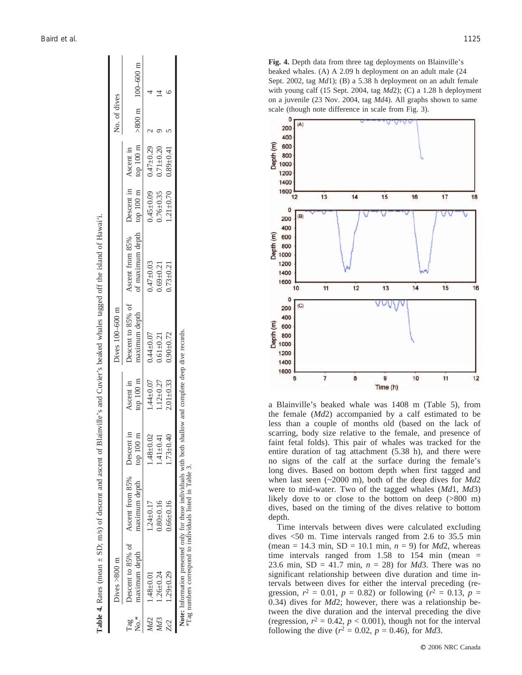|          | <b>Table 4.</b> Rates (mean $\pm$ SD; m/s) of descent and ascent of Blainville's and Cuvier's beaked whales tagged off the island of Hawai'i.<br>Dives $>800$ m       |                                                                         |                 |                                  | Dives 100-600 m |                                                                                                                     |                 |                                 | No. of dives |  |
|----------|-----------------------------------------------------------------------------------------------------------------------------------------------------------------------|-------------------------------------------------------------------------|-----------------|----------------------------------|-----------------|---------------------------------------------------------------------------------------------------------------------|-----------------|---------------------------------|--------------|--|
| х°<br>Мо | maximum depth                                                                                                                                                         | Descent to 85% of Ascent from 85% Descent in<br>maximum depth top 100 m |                 | top $100 \text{ m}$<br>Ascent in | maximum depth   | of maximum depth top 100 m top 100 m $>800$ m $100-600$ m<br>Descent to 85% of Ascent from 85% Descent in Ascent in |                 |                                 |              |  |
| Md2      | $1.48 + 0.01$                                                                                                                                                         | $1.24 \pm 0.17$                                                         | $.48 + 0.02$    | $1.44 \pm 0.07$                  | $0.44 + 0.07$   | $0.47 + 0.03$                                                                                                       |                 | $0.45 \pm 0.09$ 0.47 $\pm 0.29$ |              |  |
| VId3     | $1.26 + 0.24$                                                                                                                                                         | $0.80 + 0.16$                                                           | $.41 \pm 0.41$  | $1.12 + 0.27$                    | $0.61 \pm 0.21$ | $0.69 + 0.21$                                                                                                       | $0.76 \pm 0.35$ | $0.71 + 0.20$                   |              |  |
| Zc2      | $1.29 + 0.29$                                                                                                                                                         | $0.66 \pm 0.16$                                                         | $1.73 \pm 0.40$ | $2.01 \pm 0.33$                  | $0.90 + 0.72$   | $0.73 + 0.21$                                                                                                       | $1.21 \pm 0.70$ | $0.89 + 0.41$                   |              |  |
|          | Note: Information presented only for those individuals with both shallow and complete deep dive records.<br>*Tag numbers correspond to individuals listed in Table 3. |                                                                         |                 |                                  |                 |                                                                                                                     |                 |                                 |              |  |

Table 4. Rates (mean  $\pm$  SD; m/s) of descent and ascent of Blainville's and Cuvier's beaked whales tagged off the island of Hawai'i

beaked whales. (A) A 2.09 h deployment on an adult male (24 Sept. 2002, tag *Md*1); (B) a 5.38 h deployment on an adult female with young calf (15 Sept. 2004, tag *Md*2); (C) a 1.28 h deployment on a juvenile (23 Nov. 2004, tag *Md*4). All graphs shown to same scale (though note difference in scale from Fig. 3). 200 400 Depth (m) 600 800 1000

**Fig. 4.** Depth data from three tag deployments on Blainville's



a Blainville's beaked whale was 1408 m (Table 5), from the female (*Md*2) accompanied by a calf estimated to be less than a couple of months old (based on the lack of scarring, body size relative to the female, and presence of faint fetal folds). This pair of whales was tracked for the entire duration of tag attachment (5.38 h), and there were no signs of the calf at the surface during the female's long dives. Based on bottom depth when first tagged and when last seen (~2000 m), both of the deep dives for *Md* 2 were to mid-water. Two of the tagged whales (*Md*1, *Md*3) likely dove to or close to the bottom on deep (>800 m) dives, based on the timing of the dives relative to bottom depth.

Time intervals between dives were calculated excluding dives <50 m. Time intervals ranged from 2.6 to 35.5 min  $(\text{mean} = 14.3 \text{ min}, SD = 10.1 \text{ min}, n = 9) \text{ for } Md2$ , whereas time intervals ranged from  $1.58$  to  $154$  min (mean = 23.6 min, SD = 41.7 min, *n* = 28) for *Md*3. There was no significant relationship between dive duration and time intervals between dives for either the interval preceding (regression,  $r^2 = 0.01$ ,  $p = 0.82$ ) or following ( $r^2 = 0.13$ ,  $p =$ 0.34) dives for *Md*2; however, there was a relationship between the dive duration and the interval preceding the dive (regression,  $r^2 = 0.42$ ,  $p < 0.001$ ), though not for the interval following the dive ( $r^2 = 0.02$ ,  $p = 0.46$ ), for *Md*3.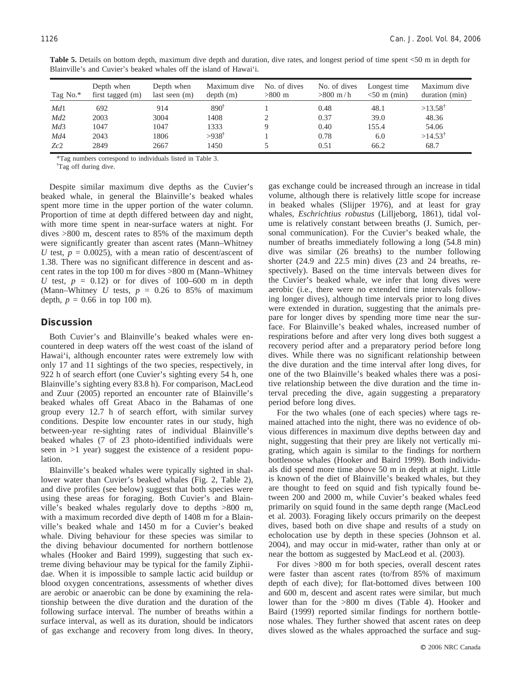| Tag No.* | Depth when<br>first tagged (m) | Depth when<br>last seen $(m)$ | Maximum dive<br>depth(m) | No. of dives<br>$>800$ m | No. of dives<br>$>800 \; \mathrm{m/h}$ | Longest time<br>$< 50$ m (min) | Maximum dive<br>duration (min) |
|----------|--------------------------------|-------------------------------|--------------------------|--------------------------|----------------------------------------|--------------------------------|--------------------------------|
| Md1      | 692                            | 914                           | $890^{\dagger}$          |                          | 0.48                                   | 48.1                           | $>13.58^{\dagger}$             |
| Md2      | 2003                           | 3004                          | 1408                     |                          | 0.37                                   | 39.0                           | 48.36                          |
| Md3      | 1047                           | 1047                          | 1333                     | Q                        | 0.40                                   | 155.4                          | 54.06                          |
| Md4      | 2043                           | 1806                          | $>938$ †                 |                          | 0.78                                   | 6.0                            | $>14.53^{\dagger}$             |
| Zc2      | 2849                           | 2667                          | 1450                     |                          | 0.51                                   | 66.2                           | 68.7                           |

**Table 5.** Details on bottom depth, maximum dive depth and duration, dive rates, and longest period of time spent <50 m in depth for Blainville's and Cuvier's beaked whales off the island of Hawai'i.

\*Tag numbers correspond to individuals listed in Table 3.

<sup>†</sup>Tag off during dive.

Despite similar maximum dive depths as the Cuvier's beaked whale, in general the Blainville's beaked whales spent more time in the upper portion of the water column. Proportion of time at depth differed between day and night, with more time spent in near-surface waters at night. For dives >800 m, descent rates to 85% of the maximum depth were significantly greater than ascent rates (Mann–Whitney *U* test,  $p = 0.0025$ , with a mean ratio of descent/ascent of 1.38. There was no significant difference in descent and ascent rates in the top 100 m for dives >800 m (Mann–Whitney *U* test,  $p = 0.12$  or for dives of 100–600 m in depth (Mann–Whitney  $U$  tests,  $p = 0.26$  to 85% of maximum depth,  $p = 0.66$  in top 100 m).

## **Discussion**

Both Cuvier's and Blainville's beaked whales were encountered in deep waters off the west coast of the island of Hawai'i, although encounter rates were extremely low with only 17 and 11 sightings of the two species, respectively, in 922 h of search effort (one Cuvier's sighting every 54 h, one Blainville's sighting every 83.8 h). For comparison, MacLeod and Zuur (2005) reported an encounter rate of Blainville's beaked whales off Great Abaco in the Bahamas of one group every 12.7 h of search effort, with similar survey conditions. Despite low encounter rates in our study, high between-year re-sighting rates of individual Blainville's beaked whales (7 of 23 photo-identified individuals were seen in >1 year) suggest the existence of a resident population.

Blainville's beaked whales were typically sighted in shallower water than Cuvier's beaked whales (Fig. 2, Table 2), and dive profiles (see below) suggest that both species were using these areas for foraging. Both Cuvier's and Blainville's beaked whales regularly dove to depths >800 m, with a maximum recorded dive depth of 1408 m for a Blainville's beaked whale and 1450 m for a Cuvier's beaked whale. Diving behaviour for these species was similar to the diving behaviour documented for northern bottlenose whales (Hooker and Baird 1999), suggesting that such extreme diving behaviour may be typical for the family Ziphiidae. When it is impossible to sample lactic acid buildup or blood oxygen concentrations, assessments of whether dives are aerobic or anaerobic can be done by examining the relationship between the dive duration and the duration of the following surface interval. The number of breaths within a surface interval, as well as its duration, should be indicators of gas exchange and recovery from long dives. In theory, gas exchange could be increased through an increase in tidal volume, although there is relatively little scope for increase in beaked whales (Slijper 1976), and at least for gray whales, *Eschrichtius robustus* (Lilljeborg, 1861), tidal volume is relatively constant between breaths (J. Sumich, personal communication). For the Cuvier's beaked whale, the number of breaths immediately following a long (54.8 min) dive was similar (26 breaths) to the number following shorter (24.9 and 22.5 min) dives (23 and 24 breaths, respectively). Based on the time intervals between dives for the Cuvier's beaked whale, we infer that long dives were aerobic (i.e., there were no extended time intervals following longer dives), although time intervals prior to long dives were extended in duration, suggesting that the animals prepare for longer dives by spending more time near the surface. For Blainville's beaked whales, increased number of respirations before and after very long dives both suggest a recovery period after and a preparatory period before long dives. While there was no significant relationship between the dive duration and the time interval after long dives, for one of the two Blainville's beaked whales there was a positive relationship between the dive duration and the time interval preceding the dive, again suggesting a preparatory period before long dives.

For the two whales (one of each species) where tags remained attached into the night, there was no evidence of obvious differences in maximum dive depths between day and night, suggesting that their prey are likely not vertically migrating, which again is similar to the findings for northern bottlenose whales (Hooker and Baird 1999). Both individuals did spend more time above 50 m in depth at night. Little is known of the diet of Blainville's beaked whales, but they are thought to feed on squid and fish typically found between 200 and 2000 m, while Cuvier's beaked whales feed primarily on squid found in the same depth range (MacLeod et al. 2003). Foraging likely occurs primarily on the deepest dives, based both on dive shape and results of a study on echolocation use by depth in these species (Johnson et al. 2004), and may occur in mid-water, rather than only at or near the bottom as suggested by MacLeod et al. (2003).

For dives >800 m for both species, overall descent rates were faster than ascent rates (to/from 85% of maximum depth of each dive); for flat-bottomed dives between 100 and 600 m, descent and ascent rates were similar, but much lower than for the >800 m dives (Table 4). Hooker and Baird (1999) reported similar findings for northern bottlenose whales. They further showed that ascent rates on deep dives slowed as the whales approached the surface and sug-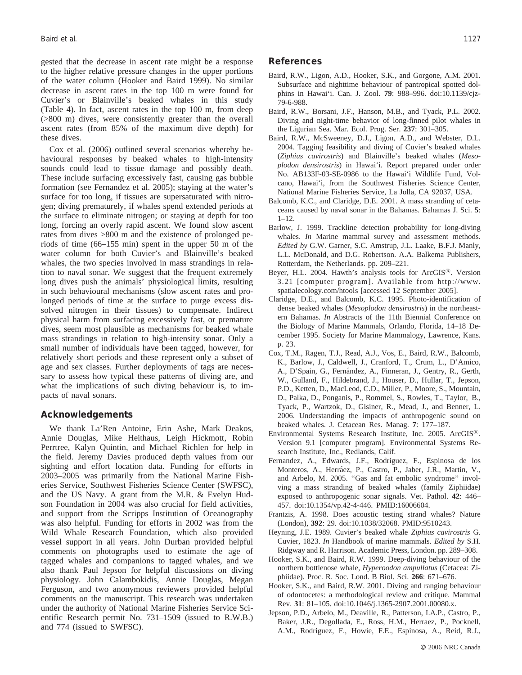gested that the decrease in ascent rate might be a response to the higher relative pressure changes in the upper portions of the water column (Hooker and Baird 1999). No similar decrease in ascent rates in the top 100 m were found for Cuvier's or Blainville's beaked whales in this study (Table 4). In fact, ascent rates in the top 100 m, from deep (>800 m) dives, were consistently greater than the overall ascent rates (from 85% of the maximum dive depth) for these dives.

Cox et al. (2006) outlined several scenarios whereby behavioural responses by beaked whales to high-intensity sounds could lead to tissue damage and possibly death. These include surfacing excessively fast, causing gas bubble formation (see Fernandez et al. 2005); staying at the water's surface for too long, if tissues are supersaturated with nitrogen; diving prematurely, if whales spend extended periods at the surface to eliminate nitrogen; or staying at depth for too long, forcing an overly rapid ascent. We found slow ascent rates from dives >800 m and the existence of prolonged periods of time (66–155 min) spent in the upper 50 m of the water column for both Cuvier's and Blainville's beaked whales, the two species involved in mass strandings in relation to naval sonar. We suggest that the frequent extremely long dives push the animals' physiological limits, resulting in such behavioural mechanisms (slow ascent rates and prolonged periods of time at the surface to purge excess dissolved nitrogen in their tissues) to compensate. Indirect physical harm from surfacing excessively fast, or premature dives, seem most plausible as mechanisms for beaked whale mass strandings in relation to high-intensity sonar. Only a small number of individuals have been tagged, however, for relatively short periods and these represent only a subset of age and sex classes. Further deployments of tags are necessary to assess how typical these patterns of diving are, and what the implications of such diving behaviour is, to impacts of naval sonars.

#### **Acknowledgements**

We thank La'Ren Antoine, Erin Ashe, Mark Deakos, Annie Douglas, Mike Heithaus, Leigh Hickmott, Robin Perrtree, Kalyn Quintin, and Michael Richlen for help in the field. Jeremy Davies produced depth values from our sighting and effort location data. Funding for efforts in 2003–2005 was primarily from the National Marine Fisheries Service, Southwest Fisheries Science Center (SWFSC), and the US Navy. A grant from the M.R. & Evelyn Hudson Foundation in 2004 was also crucial for field activities, and support from the Scripps Institution of Oceanography was also helpful. Funding for efforts in 2002 was from the Wild Whale Research Foundation, which also provided vessel support in all years. John Durban provided helpful comments on photographs used to estimate the age of tagged whales and companions to tagged whales, and we also thank Paul Jepson for helpful discussions on diving physiology. John Calambokidis, Annie Douglas, Megan Ferguson, and two anonymous reviewers provided helpful comments on the manuscript. This research was undertaken under the authority of National Marine Fisheries Service Scientific Research permit No. 731–1509 (issued to R.W.B.) and 774 (issued to SWFSC).

#### **References**

- Baird, R.W., Ligon, A.D., Hooker, S.K., and Gorgone, A.M. 2001. Subsurface and nighttime behaviour of pantropical spotted dolphins in Hawai'i. Can. J. Zool. **79**: 988–996. doi:10.1139/cjz-79-6-988.
- Baird, R.W., Borsani, J.F., Hanson, M.B., and Tyack, P.L. 2002. Diving and night-time behavior of long-finned pilot whales in the Ligurian Sea. Mar. Ecol. Prog. Ser. **237**: 301–305.
- Baird, R.W., McSweeney, D.J., Ligon, A.D., and Webster, D.L. 2004. Tagging feasibility and diving of Cuvier's beaked whales (*Ziphius cavirostris*) and Blainville's beaked whales (*Mesoplodon densirostris*) in Hawai'i. Report prepared under order No. AB133F-03-SE-0986 to the Hawai'i Wildlife Fund, Volcano, Hawai'i, from the Southwest Fisheries Science Center, National Marine Fisheries Service, La Jolla, CA 92037, USA.
- Balcomb, K.C., and Claridge, D.E. 2001. A mass stranding of cetaceans caused by naval sonar in the Bahamas. Bahamas J. Sci. **5**:  $1 - 12$ .
- Barlow, J. 1999. Trackline detection probability for long-diving whales. *In* Marine mammal survey and assessment methods. *Edited by* G.W. Garner, S.C. Amstrup, J.L. Laake, B.F.J. Manly, L.L. McDonald, and D.G. Robertson. A.A. Balkema Publishers, Rotterdam, the Netherlands. pp. 209–221.
- Beyer, H.L. 2004. Hawth's analysis tools for ArcGIS®. Version 3.21 [computer program]. Available from http://www. spatialecology.com/htools [accessed 12 September 2005].
- Claridge, D.E., and Balcomb, K.C. 1995. Photo-identification of dense beaked whales (*Mesoplodon densirostris*) in the northeastern Bahamas. *In* Abstracts of the 11th Biennial Conference on the Biology of Marine Mammals, Orlando, Florida, 14–18 December 1995. Society for Marine Mammalogy, Lawrence, Kans. p. 23.
- Cox, T.M., Ragen, T.J., Read, A.J., Vos, E., Baird, R.W., Balcomb, K., Barlow, J., Caldwell, J., Cranford, T., Crum, L., D'Amico, A., D'Spain, G., Fernández, A., Finneran, J., Gentry, R., Gerth, W., Gulland, F., Hildebrand, J., Houser, D., Hullar, T., Jepson, P.D., Ketten, D., MacLeod, C.D., Miller, P., Moore, S., Mountain, D., Palka, D., Ponganis, P., Rommel, S., Rowles, T., Taylor, B., Tyack, P., Wartzok, D., Gisiner, R., Mead, J., and Benner, L. 2006. Understanding the impacts of anthropogenic sound on beaked whales. J. Cetacean Res. Manag. **7**: 177–187.
- Environmental Systems Research Institute, Inc. 2005. ArcGIS<sup>®</sup>. Version 9.1 [computer program]. Environmental Systems Research Institute, Inc., Redlands, Calif.
- Fernandez, A., Edwards, J.F., Rodriguez, F., Espinosa de los Monteros, A., Herráez, P., Castro, P., Jaber, J.R., Martin, V., and Arbelo, M. 2005. ''Gas and fat embolic syndrome'' involving a mass stranding of beaked whales (family Ziphiidae) exposed to anthropogenic sonar signals. Vet. Pathol. **42**: 446– 457. doi:10.1354/vp.42-4-446. PMID:16006604.
- Frantzis, A. 1998. Does acoustic testing strand whales? Nature (London), **392**: 29. doi:10.1038/32068. PMID:9510243.
- Heyning, J.E. 1989. Cuvier's beaked whale *Ziphius cavirostris* G. Cuvier, 1823. *In* Handbook of marine mammals. *Edited by* S.H. Ridgway and R. Harrison. Academic Press, London. pp. 289–308.
- Hooker, S.K., and Baird, R.W. 1999. Deep-diving behaviour of the northern bottlenose whale, *Hyperoodon ampullatus* (Cetacea: Ziphiidae). Proc. R. Soc. Lond. B Biol. Sci. **266**: 671–676.
- Hooker, S.K., and Baird, R.W. 2001. Diving and ranging behaviour of odontocetes: a methodological review and critique. Mammal Rev. **31**: 81–105. doi:10.1046/j.1365-2907.2001.00080.x.
- Jepson, P.D., Arbelo, M., Deaville, R., Patterson, I.A.P., Castro, P., Baker, J.R., Degollada, E., Ross, H.M., Herraez, P., Pocknell, A.M., Rodriguez, F., Howie, F.E., Espinosa, A., Reid, R.J.,